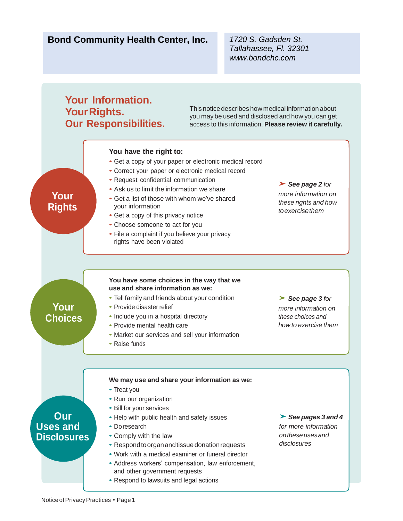# **Bond Community Health Center, Inc.** *1720 S. Gadsden St.*

*Tallahassee, Fl. 32301 www.bondchc.com*

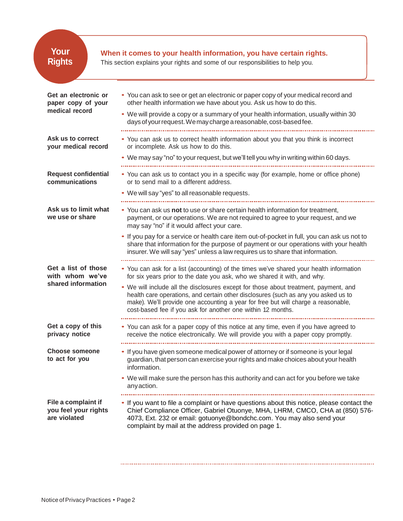| <b>Rights</b>                                                | This section explains your rights and some of our responsibilities to help you.                                                                                                                                                                                                                                                |
|--------------------------------------------------------------|--------------------------------------------------------------------------------------------------------------------------------------------------------------------------------------------------------------------------------------------------------------------------------------------------------------------------------|
| Get an electronic or<br>paper copy of your<br>medical record | • You can ask to see or get an electronic or paper copy of your medical record and<br>other health information we have about you. Ask us how to do this.                                                                                                                                                                       |
|                                                              | • We will provide a copy or a summary of your health information, usually within 30<br>days of your request. We may charge a reasonable, cost-based fee.                                                                                                                                                                       |
| Ask us to correct<br>your medical record                     | • You can ask us to correct health information about you that you think is incorrect<br>or incomplete. Ask us how to do this.                                                                                                                                                                                                  |
|                                                              | • We may say "no" to your request, but we'll tell you why in writing within 60 days.                                                                                                                                                                                                                                           |
| <b>Request confidential</b><br>communications                | • You can ask us to contact you in a specific way (for example, home or office phone)<br>or to send mail to a different address.                                                                                                                                                                                               |
|                                                              | • We will say "yes" to all reasonable requests.                                                                                                                                                                                                                                                                                |
| Ask us to limit what<br>we use or share                      | • You can ask us not to use or share certain health information for treatment,<br>payment, or our operations. We are not required to agree to your request, and we<br>may say "no" if it would affect your care.                                                                                                               |
|                                                              | • If you pay for a service or health care item out-of-pocket in full, you can ask us not to<br>share that information for the purpose of payment or our operations with your health<br>insurer. We will say "yes" unless a law requires us to share that information.                                                          |
| Get a list of those<br>with whom we've<br>shared information | • You can ask for a list (accounting) of the times we've shared your health information<br>for six years prior to the date you ask, who we shared it with, and why.                                                                                                                                                            |
|                                                              | • We will include all the disclosures except for those about treatment, payment, and<br>health care operations, and certain other disclosures (such as any you asked us to<br>make). We'll provide one accounting a year for free but will charge a reasonable,<br>cost-based fee if you ask for another one within 12 months. |
| Get a copy of this<br>privacy notice                         | • You can ask for a paper copy of this notice at any time, even if you have agreed to<br>receive the notice electronically. We will provide you with a paper copy promptly.                                                                                                                                                    |
| <b>Choose someone</b><br>to act for you                      | • If you have given someone medical power of attorney or if someone is your legal<br>guardian, that person can exercise your rights and make choices about your health<br>information.                                                                                                                                         |
|                                                              | • We will make sure the person has this authority and can act for you before we take<br>any action.                                                                                                                                                                                                                            |
| File a complaint if<br>you feel your rights<br>are violated  | • If you want to file a complaint or have questions about this notice, please contact the<br>Chief Compliance Officer, Gabriel Otuonye, MHA, LHRM, CMCO, CHA at (850) 576-<br>4073, Ext. 232 or email: gotuonye@bondchc.com. You may also send your<br>complaint by mail at the address provided on page 1.                    |

 $\color{red} \textcolor{red} \textbf{1} \color{black} \textbf{2} \color{black} \textbf{3} \color{black} \textbf{3} \color{black} \textbf{4} \color{black} \textbf{5} \color{black} \textbf{5} \color{black} \textbf{6} \color{black} \textbf{6} \color{black} \textbf{7} \color{black} \textbf{8} \color{black} \textbf{1} \color{black} \textbf{1} \color{black} \textbf{1} \color{black} \textbf{1} \color{black} \textbf{1} \color{black} \textbf{1} \color{black} \textbf{1} \color{black} \textbf{1} \color{black}$ 

 $\label{eq:2.1} \mathcal{L}(\mathbf{r}) = \mathcal{L}(\mathbf{r}) \mathcal{L}(\mathbf{r}) = \mathcal{L}(\mathbf{r}) \mathcal{L}(\mathbf{r})$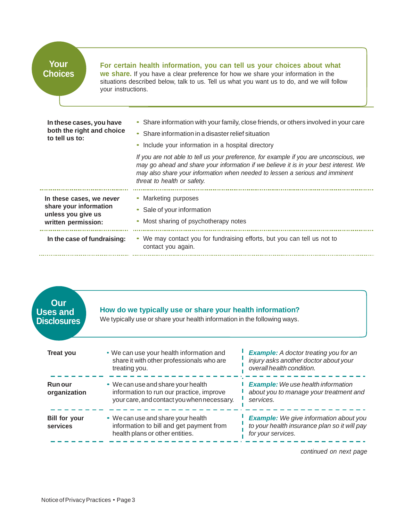| Your           |
|----------------|
| <b>Choices</b> |

## **For certain health information, you can tell us your choices about what**

**we share.** If you have a clear preference for how we share your information in the situations described below, talk to us. Tell us what you want us to do, and we will follow your instructions.

| both the right and choice<br>to tell us to: | • Share information in a disaster relief situation<br>• Include your information in a hospital directory<br>If you are not able to tell us your preference, for example if you are unconscious, we<br>may go ahead and share your information if we believe it is in your best interest. We<br>may also share your information when needed to lessen a serious and imminent<br>threat to health or safety. |  |
|---------------------------------------------|------------------------------------------------------------------------------------------------------------------------------------------------------------------------------------------------------------------------------------------------------------------------------------------------------------------------------------------------------------------------------------------------------------|--|
| In these cases, we never                    | • Marketing purposes                                                                                                                                                                                                                                                                                                                                                                                       |  |
| share your information                      | • Sale of your information                                                                                                                                                                                                                                                                                                                                                                                 |  |
| unless you give us                          | • Most sharing of psychotherapy notes                                                                                                                                                                                                                                                                                                                                                                      |  |
| written permission:                         | • We may contact you for fundraising efforts, but you can tell us not to                                                                                                                                                                                                                                                                                                                                   |  |
| In the case of fundraising:                 | contact you again.                                                                                                                                                                                                                                                                                                                                                                                         |  |

| Our<br><b>Uses and</b><br><b>Disclosures</b> | How do we typically use or share your health information?<br>We typically use or share your health information in the following ways. |                                                                                                                     |
|----------------------------------------------|---------------------------------------------------------------------------------------------------------------------------------------|---------------------------------------------------------------------------------------------------------------------|
| <b>Treat you</b>                             | • We can use your health information and<br>share it with other professionals who are<br>treating you.                                | <b>Example:</b> A doctor treating you for an<br>injury asks another doctor about your<br>overall health condition.  |
| Run our<br>organization                      | • We can use and share your health<br>information to run our practice, improve<br>your care, and contact you when necessary.          | <b>Example:</b> We use health information<br>about you to manage your treatment and<br>services.                    |
| <b>Bill for your</b><br>services             | • We can use and share your health<br>information to bill and get payment from<br>health plans or other entities.                     | <b>Example:</b> We give information about you<br>to your health insurance plan so it will pay<br>for your services. |

*continued on next page*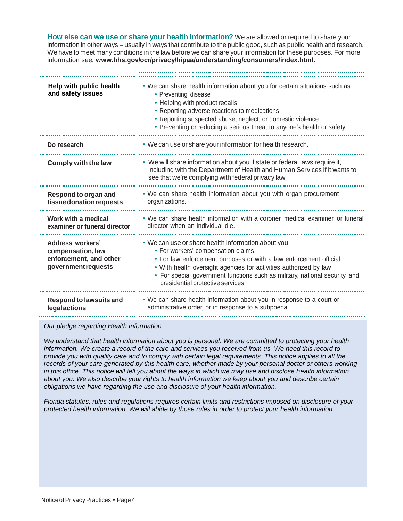**How else can we use or share your health information?** We are allowed or required to share your information in other ways – usually in ways that contribute to the public good, such as public health and research. We have to meet many conditions in the law before we can share your information for these purposes. For more information see: **[www.hhs.gov/ocr/privacy/hipaa/understanding/consumers/index.html](http://www.hhs.gov/ocr/privacy/hipaa/understanding/consumers/index.html).**

| Help with public health<br>and safety issues                                           | . We can share health information about you for certain situations such as:<br>• Preventing disease<br>• Helping with product recalls<br>• Reporting adverse reactions to medications<br>• Reporting suspected abuse, neglect, or domestic violence<br>• Preventing or reducing a serious threat to anyone's health or safety                          |
|----------------------------------------------------------------------------------------|--------------------------------------------------------------------------------------------------------------------------------------------------------------------------------------------------------------------------------------------------------------------------------------------------------------------------------------------------------|
| Do research                                                                            | • We can use or share your information for health research.                                                                                                                                                                                                                                                                                            |
| Comply with the law                                                                    | • We will share information about you if state or federal laws require it,<br>including with the Department of Health and Human Services if it wants to<br>see that we're complying with federal privacy law.                                                                                                                                          |
| Respond to organ and<br>tissue donation requests                                       | . We can share health information about you with organ procurement<br>organizations.                                                                                                                                                                                                                                                                   |
| Work with a medical<br>examiner or funeral director                                    | . We can share health information with a coroner, medical examiner, or funeral<br>director when an individual die.                                                                                                                                                                                                                                     |
| Address workers'<br>compensation, law<br>enforcement, and other<br>government requests | . We can use or share health information about you:<br>• For workers' compensation claims<br>• For law enforcement purposes or with a law enforcement official<br>. With health oversight agencies for activities authorized by law<br>• For special government functions such as military, national security, and<br>presidential protective services |
| <b>Respond to lawsuits and</b><br><b>legalactions</b>                                  | . We can share health information about you in response to a court or<br>administrative order, or in response to a subpoena.                                                                                                                                                                                                                           |

*Our pledge regarding Health Information:*

*We understand that health information about you is personal. We are committed to protecting your health information. We create a record of the care and services you received from us. We need this record to provide you with quality care and to comply with certain legal requirements. This notice applies to all the records of your care generated by this health care, whether made by your personal doctor or others working in this office. This notice will tell you about the ways in which we may use and disclose health information about you. We also describe your rights to health information we keep about you and describe certain obligations we have regarding the use and disclosure of your health information.*

*Florida statutes, rules and regulations requires certain limits and restrictions imposed on disclosure of your protected health information. We will abide by those rules in order to protect your health information.*